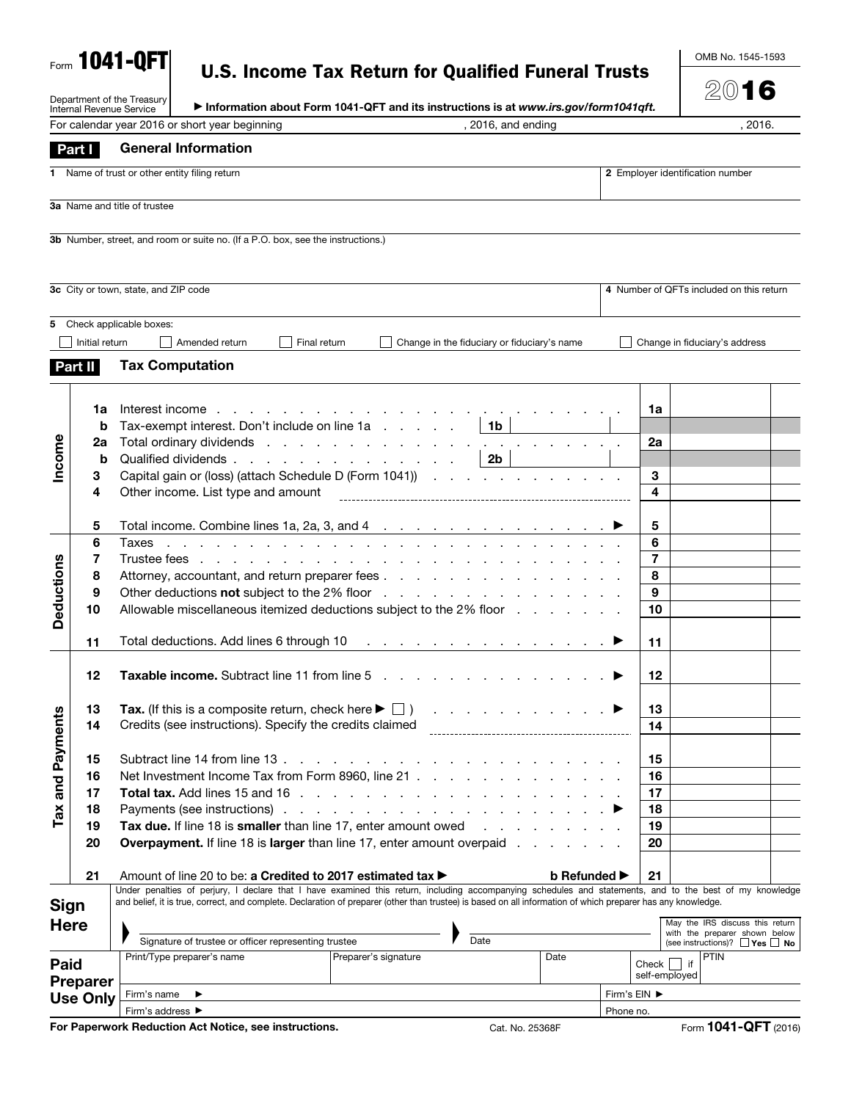|  | <b>U.S. Income Tax Return for Qualified Funeral Trusts</b> |
|--|------------------------------------------------------------|
|  |                                                            |

Form 1041-QFT

OMB No. 1545-1593

2016

|                   | Department of the Treasury<br><b>Internal Revenue Service</b> | Information about Form 1041-QFT and its instructions is at www.irs.gov/form1041qft.                                                                                                                                                                                                 |              |                              | ZV I O                                                           |  |
|-------------------|---------------------------------------------------------------|-------------------------------------------------------------------------------------------------------------------------------------------------------------------------------------------------------------------------------------------------------------------------------------|--------------|------------------------------|------------------------------------------------------------------|--|
|                   |                                                               | For calendar year 2016 or short year beginning<br>, 2016, and ending                                                                                                                                                                                                                |              |                              | , 2016.                                                          |  |
|                   | <b>Part I</b>                                                 | <b>General Information</b>                                                                                                                                                                                                                                                          |              |                              |                                                                  |  |
|                   |                                                               | Name of trust or other entity filing return                                                                                                                                                                                                                                         |              |                              | 2 Employer identification number                                 |  |
|                   |                                                               | 3a Name and title of trustee                                                                                                                                                                                                                                                        |              |                              |                                                                  |  |
|                   |                                                               |                                                                                                                                                                                                                                                                                     |              |                              |                                                                  |  |
|                   |                                                               | 3b Number, street, and room or suite no. (If a P.O. box, see the instructions.)                                                                                                                                                                                                     |              |                              |                                                                  |  |
|                   |                                                               |                                                                                                                                                                                                                                                                                     |              |                              |                                                                  |  |
|                   |                                                               | 3c City or town, state, and ZIP code                                                                                                                                                                                                                                                |              |                              | 4 Number of QFTs included on this return                         |  |
|                   |                                                               | 5 Check applicable boxes:                                                                                                                                                                                                                                                           |              |                              |                                                                  |  |
|                   | Initial return                                                | Amended return<br>Final return<br>Change in the fiduciary or fiduciary's name                                                                                                                                                                                                       |              |                              | Change in fiduciary's address                                    |  |
|                   | Part II                                                       | <b>Tax Computation</b>                                                                                                                                                                                                                                                              |              |                              |                                                                  |  |
|                   |                                                               |                                                                                                                                                                                                                                                                                     |              |                              |                                                                  |  |
|                   | 1a                                                            | Interest income<br>design and contract the contract of the contract of the contract of the contract of the contract of the contract of the contract of the contract of the contract of the contract of the contract of the contract of the contra                                   |              | 1a                           |                                                                  |  |
|                   | b                                                             | 1b<br>Tax-exempt interest. Don't include on line 1a                                                                                                                                                                                                                                 |              |                              |                                                                  |  |
| Income            | 2a                                                            | Total ordinary dividends<br>the contract of the con-                                                                                                                                                                                                                                |              | 2a                           |                                                                  |  |
|                   | b                                                             | 2 <sub>b</sub><br>Qualified dividends                                                                                                                                                                                                                                               |              |                              |                                                                  |  |
|                   | 3<br>4                                                        | Capital gain or (loss) (attach Schedule D (Form 1041))<br>Other income. List type and amount                                                                                                                                                                                        |              | 3<br>$\overline{\mathbf{4}}$ |                                                                  |  |
|                   |                                                               |                                                                                                                                                                                                                                                                                     |              |                              |                                                                  |  |
|                   | 5                                                             |                                                                                                                                                                                                                                                                                     |              | 5                            |                                                                  |  |
|                   | 6                                                             | Taxes                                                                                                                                                                                                                                                                               |              | 6                            |                                                                  |  |
|                   | 7                                                             | Trustee fees<br>the contract of the contract of the contract of the contract of                                                                                                                                                                                                     |              | $\overline{7}$               |                                                                  |  |
|                   | 8<br>9                                                        | Attorney, accountant, and return preparer fees                                                                                                                                                                                                                                      |              | 8<br>9                       |                                                                  |  |
| <b>Deductions</b> | 10                                                            | Other deductions not subject to the 2% floor<br>Allowable miscellaneous itemized deductions subject to the 2% floor                                                                                                                                                                 |              | 10                           |                                                                  |  |
|                   |                                                               |                                                                                                                                                                                                                                                                                     |              |                              |                                                                  |  |
|                   | 11                                                            | Total deductions. Add lines 6 through 10<br>and a contract and a contract and a contract and a con-                                                                                                                                                                                 |              | 11                           |                                                                  |  |
|                   | 12                                                            | Taxable income. Subtract line 11 from line 5                                                                                                                                                                                                                                        |              | 12                           |                                                                  |  |
|                   |                                                               |                                                                                                                                                                                                                                                                                     |              |                              |                                                                  |  |
| n                 | 13                                                            | Tax. (If this is a composite return, check here $\blacktriangleright \Box$ )<br>$\alpha$ , and $\alpha$ , and $\alpha$ , and $\alpha$ , and $\alpha$ , and $\alpha$                                                                                                                 |              | 13                           |                                                                  |  |
| Tax and Payment   | 14                                                            | Credits (see instructions). Specify the credits claimed                                                                                                                                                                                                                             |              | 14                           |                                                                  |  |
|                   | 15                                                            | Subtract line 14 from line 13.                                                                                                                                                                                                                                                      |              | 15                           |                                                                  |  |
|                   | 16                                                            | and a strong control of the state of the state of the state of the state of the state of the state of the state of the state of the state of the state of the state of the state of the state of the state of the state of the<br>Net Investment Income Tax from Form 8960, line 21 |              | 16                           |                                                                  |  |
|                   | 17                                                            | Total tax. Add lines 15 and 16                                                                                                                                                                                                                                                      |              | 17                           |                                                                  |  |
|                   | 18                                                            | Payments (see instructions)                                                                                                                                                                                                                                                         |              | 18                           |                                                                  |  |
|                   | 19                                                            | Tax due. If line 18 is smaller than line 17, enter amount owed                                                                                                                                                                                                                      |              | 19                           |                                                                  |  |
|                   | 20                                                            | Overpayment. If line 18 is larger than line 17, enter amount overpaid                                                                                                                                                                                                               |              | 20                           |                                                                  |  |
|                   | 21                                                            | b Refunded $\blacktriangleright$                                                                                                                                                                                                                                                    |              | 21                           |                                                                  |  |
|                   |                                                               | Amount of line 20 to be: a Credited to 2017 estimated tax ▶<br>Under penalties of perjury, I declare that I have examined this return, including accompanying schedules and statements, and to the best of my knowledge                                                             |              |                              |                                                                  |  |
|                   | <b>Sign</b>                                                   | and belief, it is true, correct, and complete. Declaration of preparer (other than trustee) is based on all information of which preparer has any knowledge.                                                                                                                        |              |                              |                                                                  |  |
|                   | <b>Here</b>                                                   |                                                                                                                                                                                                                                                                                     |              |                              | May the IRS discuss this return<br>with the preparer shown below |  |
|                   |                                                               | Signature of trustee or officer representing trustee<br>Date                                                                                                                                                                                                                        |              |                              | (see instructions)? $\Box$ Yes $\Box$ No                         |  |
| Paid              |                                                               | Print/Type preparer's name<br>Preparer's signature<br>Date                                                                                                                                                                                                                          |              | Check<br>if                  | <b>PTIN</b>                                                      |  |
|                   | <b>Preparer</b>                                               |                                                                                                                                                                                                                                                                                     |              | self-employed                |                                                                  |  |
|                   | <b>Use Only</b>                                               | Firm's name                                                                                                                                                                                                                                                                         | Firm's EIN ▶ |                              |                                                                  |  |
|                   |                                                               | Firm's address ▶<br>For Paperwork Reduction Act Notice, see instructions.<br>Cat. No. 25368F                                                                                                                                                                                        | Phone no.    |                              | Form 1041-QFT (2016)                                             |  |
|                   |                                                               |                                                                                                                                                                                                                                                                                     |              |                              |                                                                  |  |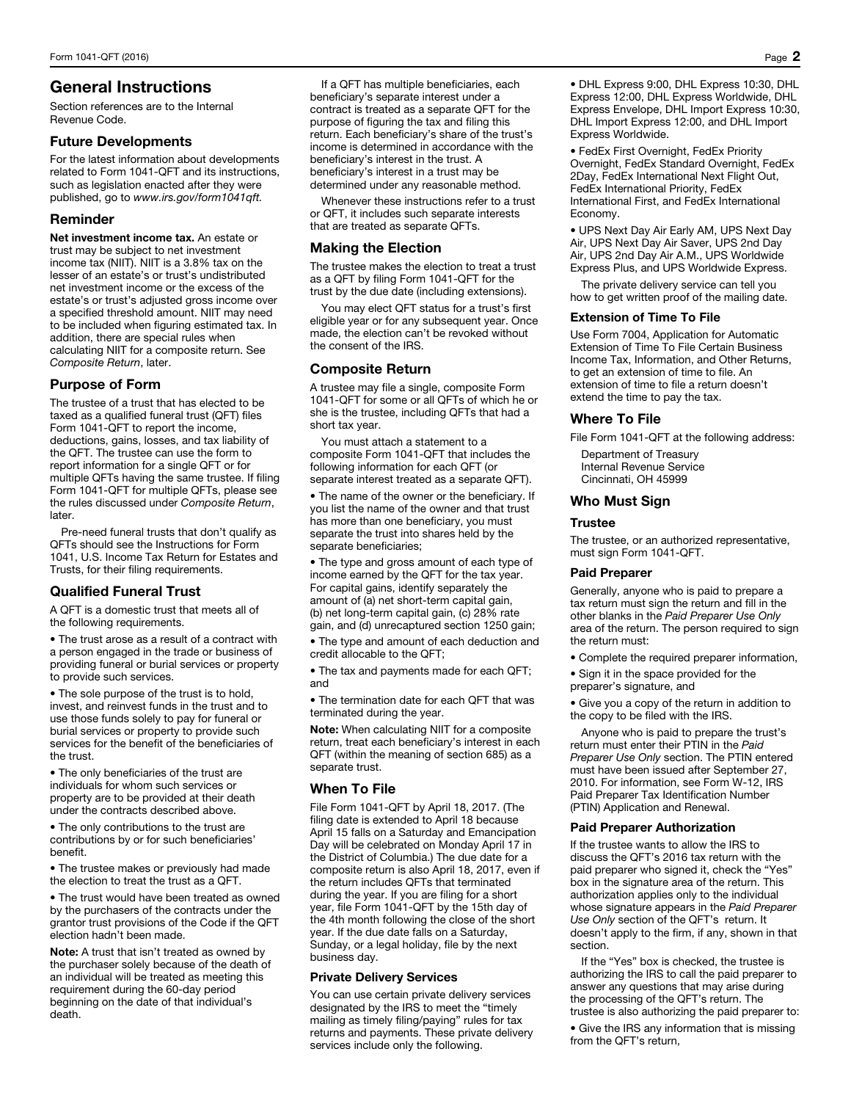# General Instructions

Section references are to the Internal Revenue Code.

## Future Developments

For the latest information about developments related to Form 1041-QFT and its instructions, such as legislation enacted after they were published, go to *www.irs.gov/form1041qft.* 

# Reminder

Net investment income tax. An estate or trust may be subject to net investment income tax (NIIT). NIIT is a 3.8% tax on the lesser of an estate's or trust's undistributed net investment income or the excess of the estate's or trust's adjusted gross income over a specified threshold amount. NIIT may need to be included when figuring estimated tax. In addition, there are special rules when calculating NIIT for a composite return. See *Composite Return*, later.

# Purpose of Form

The trustee of a trust that has elected to be taxed as a qualified funeral trust (QFT) files Form 1041-QFT to report the income, deductions, gains, losses, and tax liability of the QFT. The trustee can use the form to report information for a single QFT or for multiple QFTs having the same trustee. If filing Form 1041-QFT for multiple QFTs, please see the rules discussed under *Composite Return*, later.

Pre-need funeral trusts that don't qualify as QFTs should see the Instructions for Form 1041, U.S. Income Tax Return for Estates and Trusts, for their filing requirements.

# Qualified Funeral Trust

A QFT is a domestic trust that meets all of the following requirements.

• The trust arose as a result of a contract with a person engaged in the trade or business of providing funeral or burial services or property to provide such services.

• The sole purpose of the trust is to hold, invest, and reinvest funds in the trust and to use those funds solely to pay for funeral or burial services or property to provide such services for the benefit of the beneficiaries of the trust.

• The only beneficiaries of the trust are individuals for whom such services or property are to be provided at their death under the contracts described above.

• The only contributions to the trust are contributions by or for such beneficiaries' benefit.

• The trustee makes or previously had made the election to treat the trust as a QFT.

• The trust would have been treated as owned by the purchasers of the contracts under the grantor trust provisions of the Code if the QFT election hadn't been made.

Note: A trust that isn't treated as owned by the purchaser solely because of the death of an individual will be treated as meeting this requirement during the 60-day period beginning on the date of that individual's death.

If a QFT has multiple beneficiaries, each beneficiary's separate interest under a contract is treated as a separate QFT for the purpose of figuring the tax and filing this return. Each beneficiary's share of the trust's income is determined in accordance with the beneficiary's interest in the trust. A beneficiary's interest in a trust may be determined under any reasonable method.

Whenever these instructions refer to a trust or QFT, it includes such separate interests that are treated as separate QFTs.

## Making the Election

The trustee makes the election to treat a trust as a QFT by filing Form 1041-QFT for the trust by the due date (including extensions).

You may elect QFT status for a trust's first eligible year or for any subsequent year. Once made, the election can't be revoked without the consent of the IRS.

# Composite Return

A trustee may file a single, composite Form 1041-QFT for some or all QFTs of which he or she is the trustee, including QFTs that had a short tax year.

You must attach a statement to a composite Form 1041-QFT that includes the following information for each QFT (or separate interest treated as a separate QFT).

• The name of the owner or the beneficiary. If you list the name of the owner and that trust has more than one beneficiary, you must separate the trust into shares held by the separate beneficiaries;

• The type and gross amount of each type of income earned by the QFT for the tax year. For capital gains, identify separately the amount of (a) net short-term capital gain, (b) net long-term capital gain, (c) 28% rate gain, and (d) unrecaptured section 1250 gain;

• The type and amount of each deduction and credit allocable to the QFT;

• The tax and payments made for each QFT; and

• The termination date for each QFT that was terminated during the year.

Note: When calculating NIIT for a composite return, treat each beneficiary's interest in each QFT (within the meaning of section 685) as a separate trust.

## When To File

File Form 1041-QFT by April 18, 2017. (The filing date is extended to April 18 because April 15 falls on a Saturday and Emancipation Day will be celebrated on Monday April 17 in the District of Columbia.) The due date for a composite return is also April 18, 2017, even if the return includes QFTs that terminated during the year. If you are filing for a short year, file Form 1041-QFT by the 15th day of the 4th month following the close of the short year. If the due date falls on a Saturday, Sunday, or a legal holiday, file by the next business day.

### Private Delivery Services

You can use certain private delivery services designated by the IRS to meet the "timely mailing as timely filing/paying" rules for tax returns and payments. These private delivery services include only the following.

• DHL Express 9:00, DHL Express 10:30, DHL Express 12:00, DHL Express Worldwide, DHL Express Envelope, DHL Import Express 10:30, DHL Import Express 12:00, and DHL Import Express Worldwide.

• FedEx First Overnight, FedEx Priority Overnight, FedEx Standard Overnight, FedEx 2Day, FedEx International Next Flight Out, FedEx International Priority, FedEx International First, and FedEx International Economy.

• UPS Next Day Air Early AM, UPS Next Day Air, UPS Next Day Air Saver, UPS 2nd Day Air, UPS 2nd Day Air A.M., UPS Worldwide Express Plus, and UPS Worldwide Express.

The private delivery service can tell you how to get written proof of the mailing date.

### Extension of Time To File

Use Form 7004, Application for Automatic Extension of Time To File Certain Business Income Tax, Information, and Other Returns, to get an extension of time to file. An extension of time to file a return doesn't extend the time to pay the tax.

## Where To File

File Form 1041-QFT at the following address:

Department of Treasury Internal Revenue Service Cincinnati, OH 45999

## Who Must Sign

## Trustee

The trustee, or an authorized representative, must sign Form 1041-QFT.

### Paid Preparer

Generally, anyone who is paid to prepare a tax return must sign the return and fill in the other blanks in the *Paid Preparer Use Only* area of the return. The person required to sign the return must:

- Complete the required preparer information,
- Sign it in the space provided for the preparer's signature, and

• Give you a copy of the return in addition to the copy to be filed with the IRS.

Anyone who is paid to prepare the trust's return must enter their PTIN in the *Paid Preparer Use Only* section. The PTIN entered must have been issued after September 27, 2010. For information, see Form W-12, IRS Paid Preparer Tax Identification Number (PTIN) Application and Renewal.

### Paid Preparer Authorization

If the trustee wants to allow the IRS to discuss the QFT's 2016 tax return with the paid preparer who signed it, check the "Yes" box in the signature area of the return. This authorization applies only to the individual whose signature appears in the *Paid Preparer Use Only* section of the QFT's return. It doesn't apply to the firm, if any, shown in that section.

If the "Yes" box is checked, the trustee is authorizing the IRS to call the paid preparer to answer any questions that may arise during the processing of the QFT's return. The trustee is also authorizing the paid preparer to:

• Give the IRS any information that is missing from the QFT's return,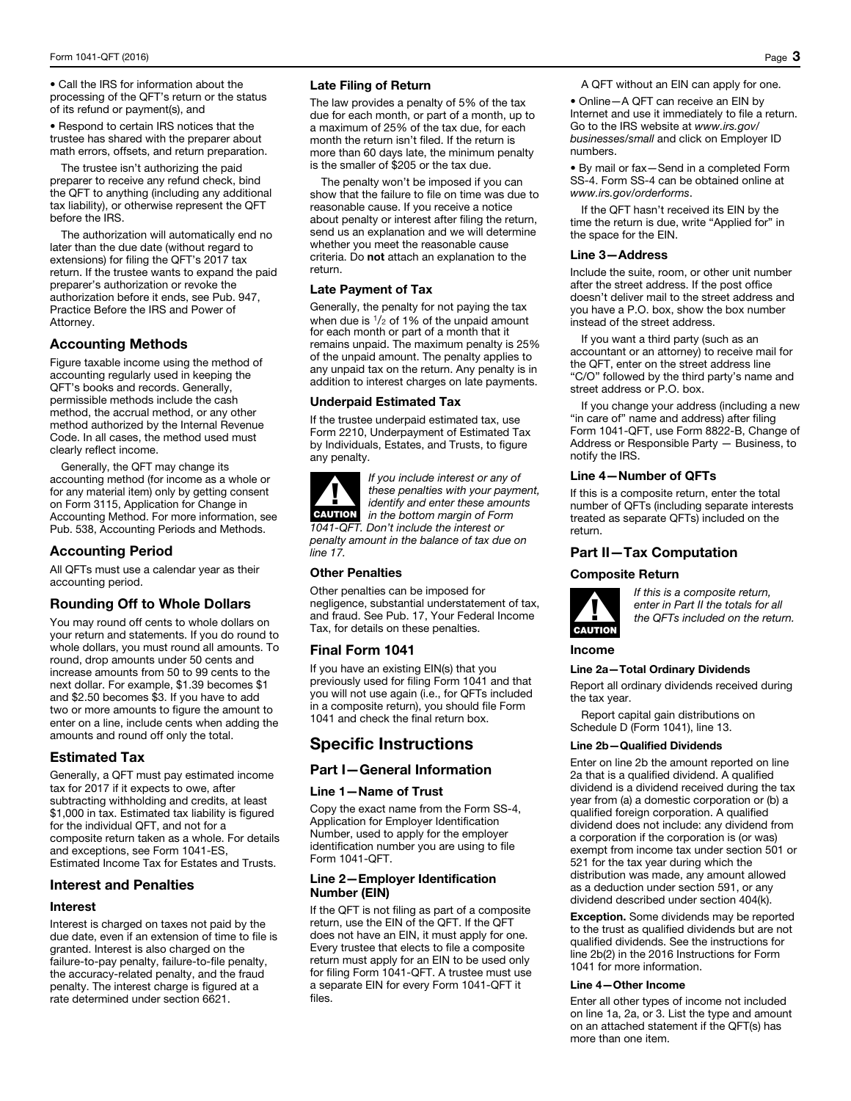• Call the IRS for information about the processing of the QFT's return or the status of its refund or payment(s), and

• Respond to certain IRS notices that the trustee has shared with the preparer about math errors, offsets, and return preparation.

The trustee isn't authorizing the paid preparer to receive any refund check, bind the QFT to anything (including any additional tax liability), or otherwise represent the QFT before the IRS.

The authorization will automatically end no later than the due date (without regard to extensions) for filing the QFT's 2017 tax return. If the trustee wants to expand the paid preparer's authorization or revoke the authorization before it ends, see Pub. 947, Practice Before the IRS and Power of Attorney.

# Accounting Methods

Figure taxable income using the method of accounting regularly used in keeping the QFT's books and records. Generally, permissible methods include the cash method, the accrual method, or any other method authorized by the Internal Revenue Code. In all cases, the method used must clearly reflect income.

Generally, the QFT may change its accounting method (for income as a whole or for any material item) only by getting consent on Form 3115, Application for Change in Accounting Method. For more information, see Pub. 538, Accounting Periods and Methods.

# Accounting Period

All QFTs must use a calendar year as their accounting period.

# Rounding Off to Whole Dollars

You may round off cents to whole dollars on your return and statements. If you do round to whole dollars, you must round all amounts. To round, drop amounts under 50 cents and increase amounts from 50 to 99 cents to the next dollar. For example, \$1.39 becomes \$1 and \$2.50 becomes \$3. If you have to add two or more amounts to figure the amount to enter on a line, include cents when adding the amounts and round off only the total.

# Estimated Tax

Generally, a QFT must pay estimated income tax for 2017 if it expects to owe, after subtracting withholding and credits, at least \$1,000 in tax. Estimated tax liability is figured for the individual QFT, and not for a composite return taken as a whole. For details and exceptions, see Form 1041-ES, Estimated Income Tax for Estates and Trusts.

# Interest and Penalties

### **Interest**

Interest is charged on taxes not paid by the due date, even if an extension of time to file is granted. Interest is also charged on the failure-to-pay penalty, failure-to-file penalty, the accuracy-related penalty, and the fraud penalty. The interest charge is figured at a rate determined under section 6621.

## Late Filing of Return

The law provides a penalty of 5% of the tax due for each month, or part of a month, up to a maximum of 25% of the tax due, for each month the return isn't filed. If the return is more than 60 days late, the minimum penalty is the smaller of \$205 or the tax due.

The penalty won't be imposed if you can show that the failure to file on time was due to reasonable cause. If you receive a notice about penalty or interest after filing the return, send us an explanation and we will determine whether you meet the reasonable cause criteria. Do not attach an explanation to the return.

## Late Payment of Tax

Generally, the penalty for not paying the tax when due is  $\frac{1}{2}$  of 1% of the unpaid amount for each month or part of a month that it remains unpaid. The maximum penalty is 25% of the unpaid amount. The penalty applies to any unpaid tax on the return. Any penalty is in addition to interest charges on late payments.

### Underpaid Estimated Tax

If the trustee underpaid estimated tax, use Form 2210, Underpayment of Estimated Tax by Individuals, Estates, and Trusts, to figure any penalty.



*If you include interest or any of these penalties with your payment, identify and enter these amounts in the bottom margin of Form 1041-QFT. Don't include the interest or* 

*penalty amount in the balance of tax due on line 17.* 

## Other Penalties

Other penalties can be imposed for negligence, substantial understatement of tax, and fraud. See Pub. 17, Your Federal Income Tax, for details on these penalties.

## Final Form 1041

If you have an existing EIN(s) that you previously used for filing Form 1041 and that you will not use again (i.e., for QFTs included in a composite return), you should file Form 1041 and check the final return box.

# Specific Instructions

## Part I—General Information

### Line 1—Name of Trust

Copy the exact name from the Form SS-4, Application for Employer Identification Number, used to apply for the employer identification number you are using to file Form 1041-QFT.

### Line 2—Employer Identification Number (EIN)

If the QFT is not filing as part of a composite return, use the EIN of the QFT. If the QFT does not have an EIN, it must apply for one. Every trustee that elects to file a composite return must apply for an EIN to be used only for filing Form 1041-QFT. A trustee must use a separate EIN for every Form 1041-QFT it files.

A QFT without an EIN can apply for one.

• Online—A QFT can receive an EIN by Internet and use it immediately to file a return. Go to the IRS website at *www.irs.gov/ businesses/small* and click on Employer ID numbers.

• By mail or fax—Send in a completed Form SS-4. Form SS-4 can be obtained online at *www.irs.gov/orderforms*.

If the QFT hasn't received its EIN by the time the return is due, write "Applied for" in the space for the EIN.

### Line 3—Address

Include the suite, room, or other unit number after the street address. If the post office doesn't deliver mail to the street address and you have a P.O. box, show the box number instead of the street address.

If you want a third party (such as an accountant or an attorney) to receive mail for the QFT, enter on the street address line "C/O" followed by the third party's name and street address or P.O. box.

If you change your address (including a new "in care of" name and address) after filing Form 1041-QFT, use Form 8822-B, Change of Address or Responsible Party — Business, to notify the IRS.

### Line 4—Number of QFTs

If this is a composite return, enter the total number of QFTs (including separate interests treated as separate QFTs) included on the return.

## Part II—Tax Computation

### Composite Return



*If this is a composite return, enter in Part II the totals for all the QFTs included on the return.*

### Income

#### Line 2a—Total Ordinary Dividends

Report all ordinary dividends received during the tax year.

Report capital gain distributions on Schedule D (Form 1041), line 13.

#### Line 2b—Qualified Dividends

Enter on line 2b the amount reported on line 2a that is a qualified dividend. A qualified dividend is a dividend received during the tax year from (a) a domestic corporation or (b) a qualified foreign corporation. A qualified dividend does not include: any dividend from a corporation if the corporation is (or was) exempt from income tax under section 501 or 521 for the tax year during which the distribution was made, any amount allowed as a deduction under section 591, or any dividend described under section 404(k).

**Exception.** Some dividends may be reported to the trust as qualified dividends but are not qualified dividends. See the instructions for line 2b(2) in the 2016 Instructions for Form 1041 for more information.

### Line 4—Other Income

Enter all other types of income not included on line 1a, 2a, or 3. List the type and amount on an attached statement if the QFT(s) has more than one item.